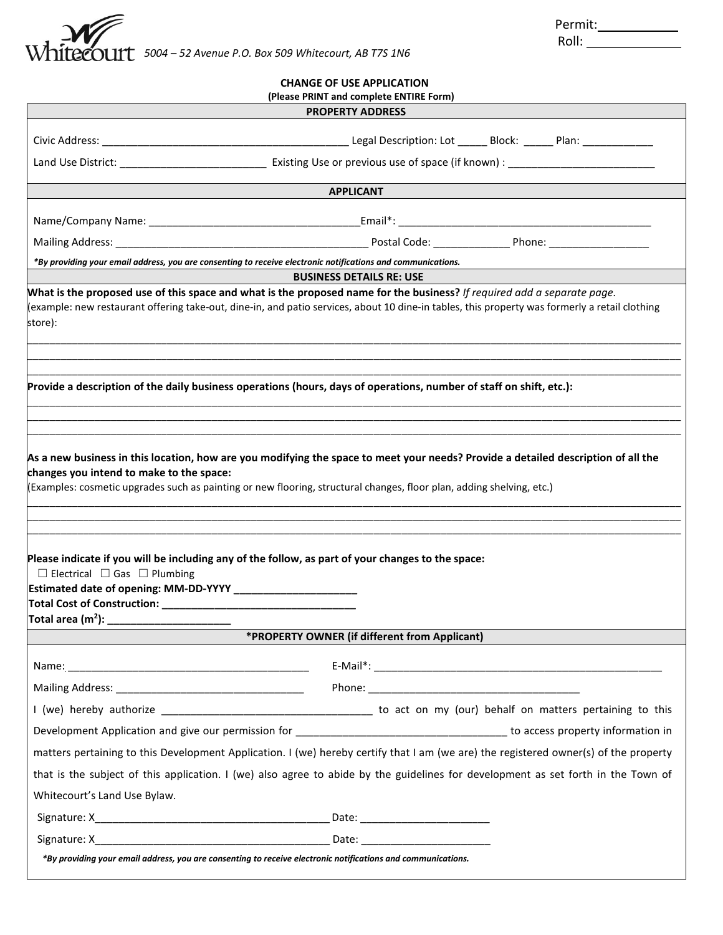

| Permit: |  |
|---------|--|
|         |  |

| ۰.<br>×<br>v |  |
|--------------|--|

| (Please PRINT and complete ENTIRE Form)                                                                                                           |                                                                                                                                                |  |  |  |
|---------------------------------------------------------------------------------------------------------------------------------------------------|------------------------------------------------------------------------------------------------------------------------------------------------|--|--|--|
|                                                                                                                                                   | <b>PROPERTY ADDRESS</b>                                                                                                                        |  |  |  |
|                                                                                                                                                   |                                                                                                                                                |  |  |  |
|                                                                                                                                                   | Land Use District: __________________________________ Existing Use or previous use of space (if known) : ______________________________        |  |  |  |
|                                                                                                                                                   |                                                                                                                                                |  |  |  |
|                                                                                                                                                   | <b>APPLICANT</b>                                                                                                                               |  |  |  |
|                                                                                                                                                   |                                                                                                                                                |  |  |  |
|                                                                                                                                                   |                                                                                                                                                |  |  |  |
| *By providing your email address, you are consenting to receive electronic notifications and communications.                                      |                                                                                                                                                |  |  |  |
|                                                                                                                                                   | <b>BUSINESS DETAILS RE: USE</b>                                                                                                                |  |  |  |
| What is the proposed use of this space and what is the proposed name for the business? If required add a separate page.<br>store):                | (example: new restaurant offering take-out, dine-in, and patio services, about 10 dine-in tables, this property was formerly a retail clothing |  |  |  |
| Provide a description of the daily business operations (hours, days of operations, number of staff on shift, etc.):                               |                                                                                                                                                |  |  |  |
| Please indicate if you will be including any of the follow, as part of your changes to the space:<br>$\Box$ Electrical $\Box$ Gas $\Box$ Plumbing |                                                                                                                                                |  |  |  |
| Total area (m <sup>2</sup> ): $\_\_$                                                                                                              |                                                                                                                                                |  |  |  |
|                                                                                                                                                   | *PROPERTY OWNER (if different from Applicant)                                                                                                  |  |  |  |
|                                                                                                                                                   |                                                                                                                                                |  |  |  |
|                                                                                                                                                   |                                                                                                                                                |  |  |  |
|                                                                                                                                                   |                                                                                                                                                |  |  |  |
|                                                                                                                                                   |                                                                                                                                                |  |  |  |
|                                                                                                                                                   | matters pertaining to this Development Application. I (we) hereby certify that I am (we are) the registered owner(s) of the property           |  |  |  |
|                                                                                                                                                   | that is the subject of this application. I (we) also agree to abide by the guidelines for development as set forth in the Town of              |  |  |  |
| Whitecourt's Land Use Bylaw.                                                                                                                      |                                                                                                                                                |  |  |  |
|                                                                                                                                                   |                                                                                                                                                |  |  |  |
|                                                                                                                                                   |                                                                                                                                                |  |  |  |
|                                                                                                                                                   |                                                                                                                                                |  |  |  |

**CHANGE OF USE APPLICATION**